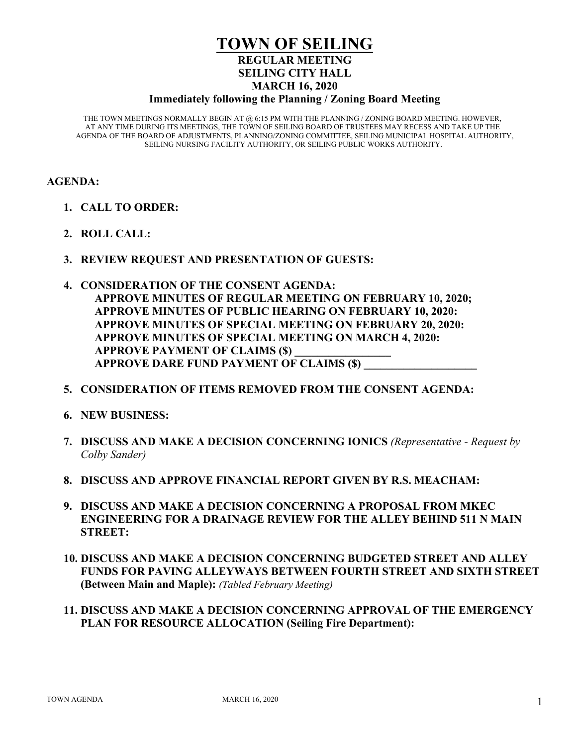# **TOWN OF SEILING REGULAR MEETING SEILING CITY HALL MARCH 16, 2020**

#### **Immediately following the Planning / Zoning Board Meeting**

THE TOWN MEETINGS NORMALLY BEGIN AT @ 6:15 PM WITH THE PLANNING / ZONING BOARD MEETING. HOWEVER, AT ANY TIME DURING ITS MEETINGS, THE TOWN OF SEILING BOARD OF TRUSTEES MAY RECESS AND TAKE UP THE AGENDA OF THE BOARD OF ADJUSTMENTS, PLANNING/ZONING COMMITTEE, SEILING MUNICIPAL HOSPITAL AUTHORITY, SEILING NURSING FACILITY AUTHORITY, OR SEILING PUBLIC WORKS AUTHORITY.

### **AGENDA:**

- **1. CALL TO ORDER:**
- **2. ROLL CALL:**
- **3. REVIEW REQUEST AND PRESENTATION OF GUESTS:**
- **4. CONSIDERATION OF THE CONSENT AGENDA: APPROVE MINUTES OF REGULAR MEETING ON FEBRUARY 10, 2020; APPROVE MINUTES OF PUBLIC HEARING ON FEBRUARY 10, 2020: APPROVE MINUTES OF SPECIAL MEETING ON FEBRUARY 20, 2020: APPROVE MINUTES OF SPECIAL MEETING ON MARCH 4, 2020: APPROVE PAYMENT OF CLAIMS (\$) APPROVE DARE FUND PAYMENT OF CLAIMS (\$)**
- **5. CONSIDERATION OF ITEMS REMOVED FROM THE CONSENT AGENDA:**
- **6. NEW BUSINESS:**
- **7. DISCUSS AND MAKE A DECISION CONCERNING IONICS** *(Representative - Request by Colby Sander)*
- **8. DISCUSS AND APPROVE FINANCIAL REPORT GIVEN BY R.S. MEACHAM:**
- **9. DISCUSS AND MAKE A DECISION CONCERNING A PROPOSAL FROM MKEC ENGINEERING FOR A DRAINAGE REVIEW FOR THE ALLEY BEHIND 511 N MAIN STREET:**
- **10. DISCUSS AND MAKE A DECISION CONCERNING BUDGETED STREET AND ALLEY FUNDS FOR PAVING ALLEYWAYS BETWEEN FOURTH STREET AND SIXTH STREET (Between Main and Maple):** *(Tabled February Meeting)*
- **11. DISCUSS AND MAKE A DECISION CONCERNING APPROVAL OF THE EMERGENCY PLAN FOR RESOURCE ALLOCATION (Seiling Fire Department):**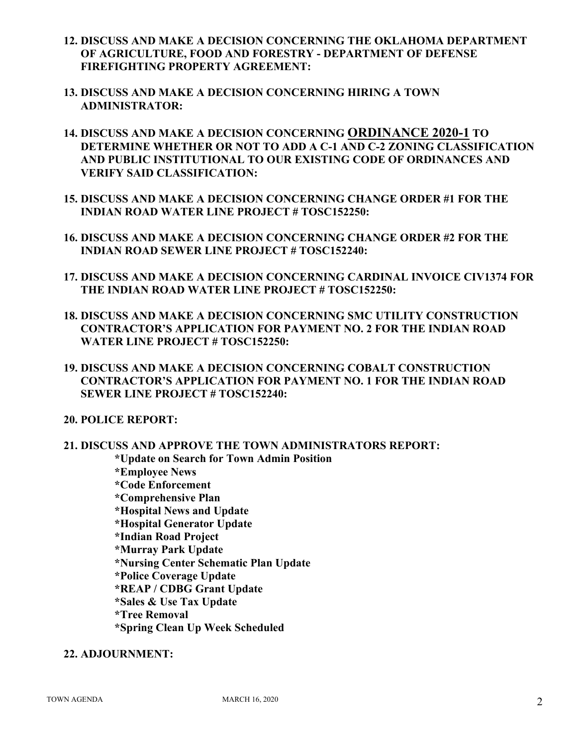- **12. DISCUSS AND MAKE A DECISION CONCERNING THE OKLAHOMA DEPARTMENT OF AGRICULTURE, FOOD AND FORESTRY - DEPARTMENT OF DEFENSE FIREFIGHTING PROPERTY AGREEMENT:**
- **13. DISCUSS AND MAKE A DECISION CONCERNING HIRING A TOWN ADMINISTRATOR:**
- **14. DISCUSS AND MAKE A DECISION CONCERNING ORDINANCE 2020-1 TO DETERMINE WHETHER OR NOT TO ADD A C-1 AND C-2 ZONING CLASSIFICATION AND PUBLIC INSTITUTIONAL TO OUR EXISTING CODE OF ORDINANCES AND VERIFY SAID CLASSIFICATION:**
- **15. DISCUSS AND MAKE A DECISION CONCERNING CHANGE ORDER #1 FOR THE INDIAN ROAD WATER LINE PROJECT # TOSC152250:**
- **16. DISCUSS AND MAKE A DECISION CONCERNING CHANGE ORDER #2 FOR THE INDIAN ROAD SEWER LINE PROJECT # TOSC152240:**
- **17. DISCUSS AND MAKE A DECISION CONCERNING CARDINAL INVOICE CIV1374 FOR THE INDIAN ROAD WATER LINE PROJECT # TOSC152250:**
- **18. DISCUSS AND MAKE A DECISION CONCERNING SMC UTILITY CONSTRUCTION CONTRACTOR'S APPLICATION FOR PAYMENT NO. 2 FOR THE INDIAN ROAD WATER LINE PROJECT # TOSC152250:**
- **19. DISCUSS AND MAKE A DECISION CONCERNING COBALT CONSTRUCTION CONTRACTOR'S APPLICATION FOR PAYMENT NO. 1 FOR THE INDIAN ROAD SEWER LINE PROJECT # TOSC152240:**
- **20. POLICE REPORT:**
- **21. DISCUSS AND APPROVE THE TOWN ADMINISTRATORS REPORT: \*Update on Search for Town Admin Position \*Employee News \*Code Enforcement \*Comprehensive Plan \*Hospital News and Update \*Hospital Generator Update \*Indian Road Project \*Murray Park Update \*Nursing Center Schematic Plan Update \*Police Coverage Update \*REAP / CDBG Grant Update \*Sales & Use Tax Update \*Tree Removal \*Spring Clean Up Week Scheduled**

## **22. ADJOURNMENT:**